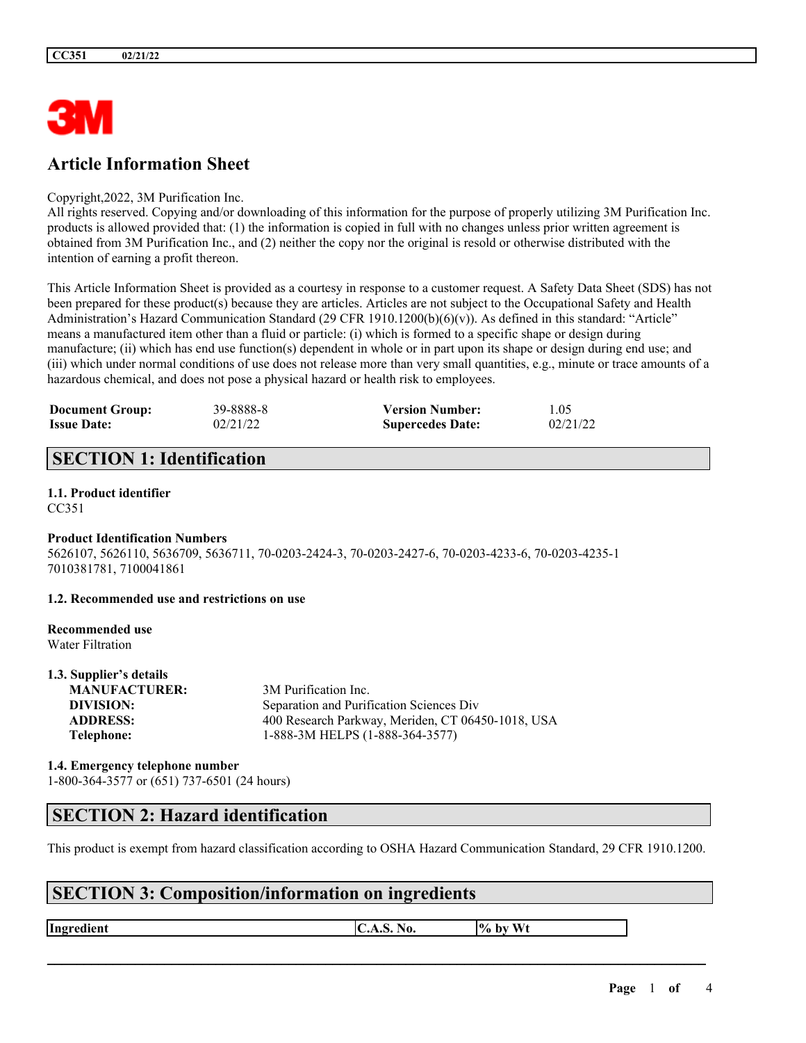

# **Article Information Sheet**

#### Copyright,2022, 3M Purification Inc.

All rights reserved. Copying and/or downloading of this information for the purpose of properly utilizing 3M Purification Inc. products is allowed provided that: (1) the information is copied in full with no changes unless prior written agreement is obtained from 3M Purification Inc., and (2) neither the copy nor the original is resold or otherwise distributed with the intention of earning a profit thereon.

This Article Information Sheet is provided as a courtesy in response to a customer request. A Safety Data Sheet (SDS) has not been prepared for these product(s) because they are articles. Articles are not subject to the Occupational Safety and Health Administration's Hazard Communication Standard (29 CFR 1910.1200(b)(6)(v)). As defined in this standard: "Article" means a manufactured item other than a fluid or particle: (i) which is formed to a specific shape or design during manufacture; (ii) which has end use function(s) dependent in whole or in part upon its shape or design during end use; and (iii) which under normal conditions of use does not release more than very small quantities, e.g., minute or trace amounts of a hazardous chemical, and does not pose a physical hazard or health risk to employees.

| <b>Document Group:</b> | 39-8888-8 | <b>Version Number:</b>  | 1.05     |
|------------------------|-----------|-------------------------|----------|
| <b>Issue Date:</b>     | 02/21/22  | <b>Supercedes Date:</b> | 02/21/22 |

# **SECTION 1: Identification**

# **1.1. Product identifier**

CC351

### **Product Identification Numbers**

5626107, 5626110, 5636709, 5636711, 70-0203-2424-3, 70-0203-2427-6, 70-0203-4233-6, 70-0203-4235-1 7010381781, 7100041861

#### **1.2. Recommended use and restrictions on use**

#### **Recommended use** Water Filtration

**1.3. Supplier's details**

| 1.3. Supplier's details |                                                   |
|-------------------------|---------------------------------------------------|
| <b>MANUFACTURER:</b>    | 3M Purification Inc.                              |
| DIVISION:               | Separation and Purification Sciences Div          |
| <b>ADDRESS:</b>         | 400 Research Parkway, Meriden, CT 06450-1018, USA |
| Telephone:              | 1-888-3M HELPS (1-888-364-3577)                   |
|                         |                                                   |

### **1.4. Emergency telephone number** 1-800-364-3577 or (651) 737-6501 (24 hours)

## **SECTION 2: Hazard identification**

This product is exempt from hazard classification according to OSHA Hazard Communication Standard, 29 CFR 1910.1200.

 $\mathcal{L}_\mathcal{L} = \mathcal{L}_\mathcal{L} = \mathcal{L}_\mathcal{L} = \mathcal{L}_\mathcal{L} = \mathcal{L}_\mathcal{L} = \mathcal{L}_\mathcal{L} = \mathcal{L}_\mathcal{L} = \mathcal{L}_\mathcal{L} = \mathcal{L}_\mathcal{L} = \mathcal{L}_\mathcal{L} = \mathcal{L}_\mathcal{L} = \mathcal{L}_\mathcal{L} = \mathcal{L}_\mathcal{L} = \mathcal{L}_\mathcal{L} = \mathcal{L}_\mathcal{L} = \mathcal{L}_\mathcal{L} = \mathcal{L}_\mathcal{L}$ 

# **SECTION 3: Composition/information on ingredients**

**Ingredient C.A.S.** No.  $\begin{bmatrix} \phi & \phi \end{bmatrix}$  by Wt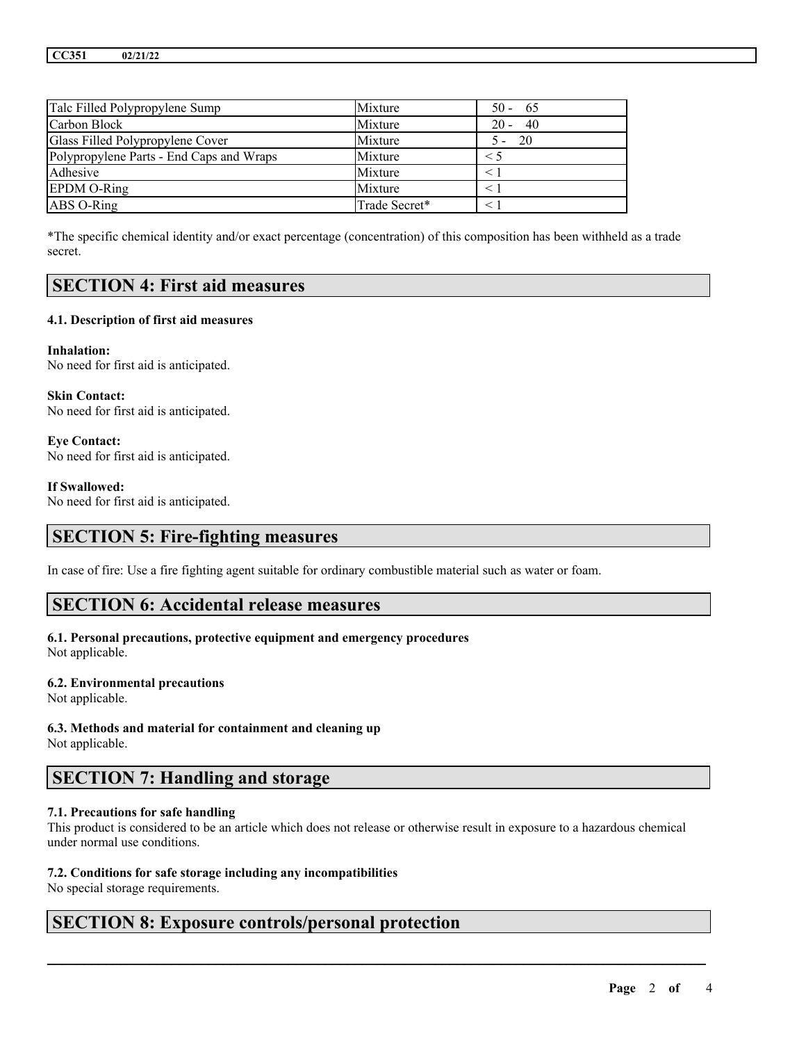| Talc Filled Polypropylene Sump           | Mixture       | $50 - 65$     |
|------------------------------------------|---------------|---------------|
| Carbon Block                             | Mixture       | $20 - 40$     |
| Glass Filled Polypropylene Cover         | Mixture       | - 20<br>$5 -$ |
| Polypropylene Parts - End Caps and Wraps | Mixture       | $\leq 5$      |
| Adhesive                                 | Mixture       |               |
| <b>EPDM O-Ring</b>                       | Mixture       |               |
| ABS O-Ring                               | Trade Secret* |               |

\*The specific chemical identity and/or exact percentage (concentration) of this composition has been withheld as a trade secret.

## **SECTION 4: First aid measures**

#### **4.1. Description of first aid measures**

**Inhalation:** No need for first aid is anticipated.

**Skin Contact:** No need for first aid is anticipated.

**Eye Contact:** No need for first aid is anticipated.

#### **If Swallowed:**

No need for first aid is anticipated.

## **SECTION 5: Fire-fighting measures**

In case of fire: Use a fire fighting agent suitable for ordinary combustible material such as water or foam.

### **SECTION 6: Accidental release measures**

### **6.1. Personal precautions, protective equipment and emergency procedures**

Not applicable.

#### **6.2. Environmental precautions**

Not applicable.

# **6.3. Methods and material for containment and cleaning up**

Not applicable.

# **SECTION 7: Handling and storage**

### **7.1. Precautions for safe handling**

This product is considered to be an article which does not release or otherwise result in exposure to a hazardous chemical under normal use conditions.

 $\mathcal{L}_\mathcal{L} = \mathcal{L}_\mathcal{L} = \mathcal{L}_\mathcal{L} = \mathcal{L}_\mathcal{L} = \mathcal{L}_\mathcal{L} = \mathcal{L}_\mathcal{L} = \mathcal{L}_\mathcal{L} = \mathcal{L}_\mathcal{L} = \mathcal{L}_\mathcal{L} = \mathcal{L}_\mathcal{L} = \mathcal{L}_\mathcal{L} = \mathcal{L}_\mathcal{L} = \mathcal{L}_\mathcal{L} = \mathcal{L}_\mathcal{L} = \mathcal{L}_\mathcal{L} = \mathcal{L}_\mathcal{L} = \mathcal{L}_\mathcal{L}$ 

### **7.2. Conditions for safe storage including any incompatibilities**

No special storage requirements.

## **SECTION 8: Exposure controls/personal protection**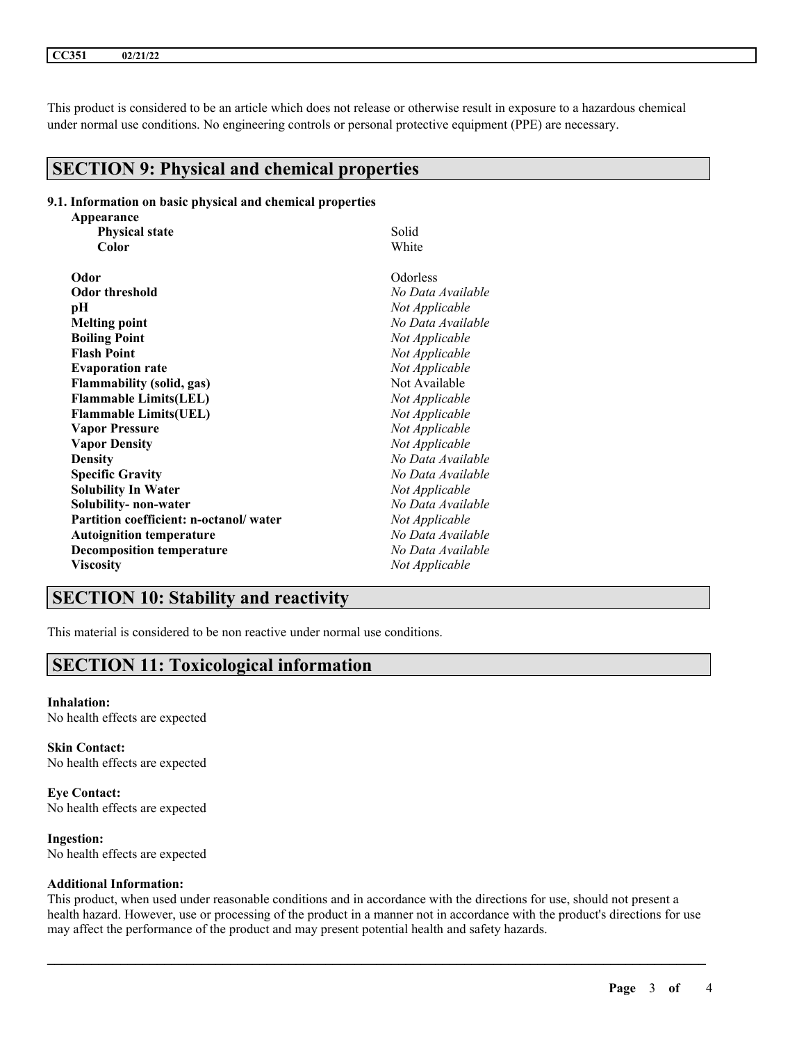This product is considered to be an article which does not release or otherwise result in exposure to a hazardous chemical under normal use conditions. No engineering controls or personal protective equipment (PPE) are necessary.

## **SECTION 9: Physical and chemical properties**

### **9.1. Information on basic physical and chemical properties**

| Appearance                             |                   |
|----------------------------------------|-------------------|
| <b>Physical state</b>                  | Solid             |
| Color                                  | White             |
| Odor                                   | Odorless          |
| <b>Odor threshold</b>                  | No Data Available |
| рH                                     | Not Applicable    |
| <b>Melting point</b>                   | No Data Available |
| <b>Boiling Point</b>                   | Not Applicable    |
| <b>Flash Point</b>                     | Not Applicable    |
| <b>Evaporation rate</b>                | Not Applicable    |
| <b>Flammability (solid, gas)</b>       | Not Available     |
| <b>Flammable Limits(LEL)</b>           | Not Applicable    |
| <b>Flammable Limits(UEL)</b>           | Not Applicable    |
| <b>Vapor Pressure</b>                  | Not Applicable    |
| <b>Vapor Density</b>                   | Not Applicable    |
| <b>Density</b>                         | No Data Available |
| <b>Specific Gravity</b>                | No Data Available |
| <b>Solubility In Water</b>             | Not Applicable    |
| Solubility- non-water                  | No Data Available |
| Partition coefficient: n-octanol/water | Not Applicable    |
| <b>Autoignition temperature</b>        | No Data Available |
| <b>Decomposition temperature</b>       | No Data Available |
| <b>Viscosity</b>                       | Not Applicable    |

# **SECTION 10: Stability and reactivity**

This material is considered to be non reactive under normal use conditions.

# **SECTION 11: Toxicological information**

**Inhalation:** No health effects are expected

**Skin Contact:** No health effects are expected

**Eye Contact:** No health effects are expected

**Ingestion:** No health effects are expected

#### **Additional Information:**

This product, when used under reasonable conditions and in accordance with the directions for use, should not present a health hazard. However, use or processing of the product in a manner not in accordance with the product's directions for use may affect the performance of the product and may present potential health and safety hazards.

 $\mathcal{L}_\mathcal{L} = \mathcal{L}_\mathcal{L} = \mathcal{L}_\mathcal{L} = \mathcal{L}_\mathcal{L} = \mathcal{L}_\mathcal{L} = \mathcal{L}_\mathcal{L} = \mathcal{L}_\mathcal{L} = \mathcal{L}_\mathcal{L} = \mathcal{L}_\mathcal{L} = \mathcal{L}_\mathcal{L} = \mathcal{L}_\mathcal{L} = \mathcal{L}_\mathcal{L} = \mathcal{L}_\mathcal{L} = \mathcal{L}_\mathcal{L} = \mathcal{L}_\mathcal{L} = \mathcal{L}_\mathcal{L} = \mathcal{L}_\mathcal{L}$